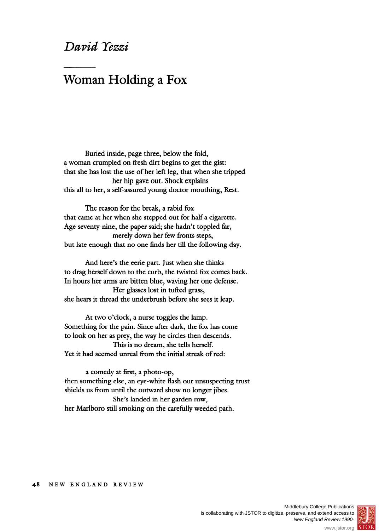## **David Tezzi**

## **Woman Holding a Fox**

**Buried inside, page three, below the fold, a woman crumpled on fresh dirt begins to get the gist: that she has lost the use of her left leg, that when she tripped her hip gave out. Shock explains this all to her, a self-assured young doctor mouthing, Rest.** 

**The reason for the break, a rabid fox that came at her when she stepped out for half a cigarette. Age seventy-nine, the paper said; she hadn't toppled far, merely down her few fronts steps, but late enough that no one finds her till the following day.** 

**And here's the eerie part. Just when she thinks to drag herself down to the curb, the twisted fox comes back. In hours her arms are bitten blue, waving her one defense. Her glasses lost in tufted grass, she hears it thread the underbrush before she sees it leap.** 

**At two o'clock, a nurse toggles the lamp. Something for the pain. Since after dark, the fox has come to look on her as prey, the way he circles then descends. This is no dream, she tells herself. Yet it had seemed unreal from the initial streak of red:** 

**a comedy at first, a photo-op, then something else, an eye-white flash our unsuspecting trust shields us from until the outward show no longer jibes. She's landed in her garden row, her Marlboro still smoking on the carefully weeded path.**